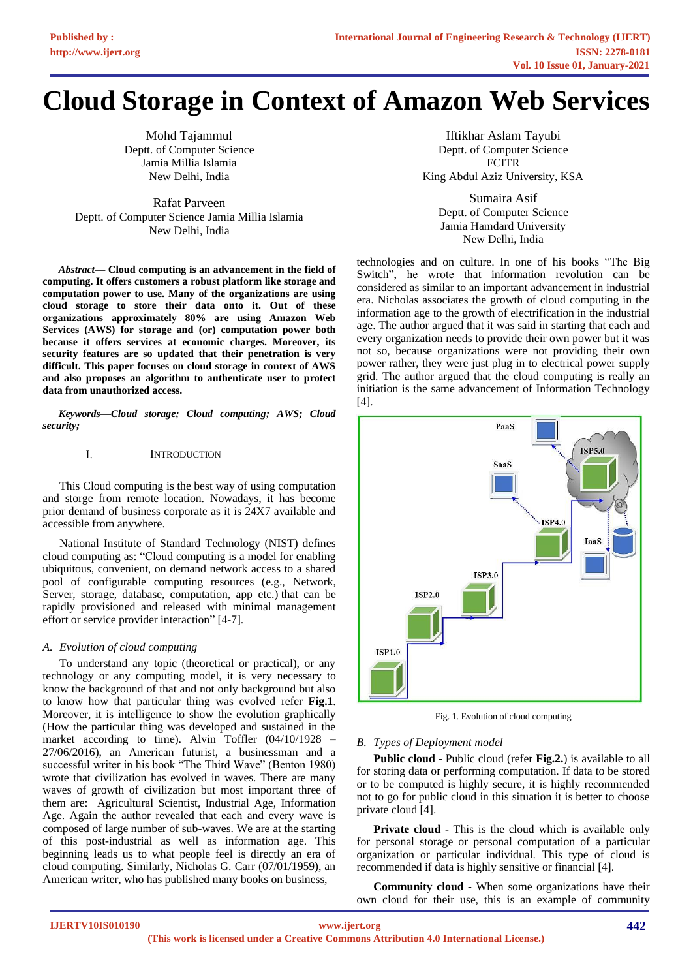# **Cloud Storage in Context of Amazon Web Services**

Mohd Tajammul Deptt. of Computer Science Jamia Millia Islamia New Delhi, India

Rafat Parveen Deptt. of Computer Science Jamia Millia Islamia New Delhi, India

*Abstract***— Cloud computing is an advancement in the field of computing. It offers customers a robust platform like storage and computation power to use. Many of the organizations are using cloud storage to store their data onto it. Out of these organizations approximately 80% are using Amazon Web Services (AWS) for storage and (or) computation power both because it offers services at economic charges. Moreover, its security features are so updated that their penetration is very difficult. This paper focuses on cloud storage in context of AWS and also proposes an algorithm to authenticate user to protect data from unauthorized access.**

*Keywords—Cloud storage; Cloud computing; AWS; Cloud security;* 

## I. INTRODUCTION

This Cloud computing is the best way of using computation and storge from remote location. Nowadays, it has become prior demand of business corporate as it is 24X7 available and accessible from anywhere.

National Institute of Standard Technology (NIST) defines cloud computing as: "Cloud computing is a model for enabling ubiquitous, convenient, on demand network access to a shared pool of configurable computing resources (e.g., Network, Server, storage, database, computation, app etc.) that can be rapidly provisioned and released with minimal management effort or service provider interaction" [4-7].

#### *A. Evolution of cloud computing*

To understand any topic (theoretical or practical), or any technology or any computing model, it is very necessary to know the background of that and not only background but also to know how that particular thing was evolved refer **Fig.1**. Moreover, it is intelligence to show the evolution graphically (How the particular thing was developed and sustained in the market according to time). Alvin Toffler  $(04/10/1928 -$ 27/06/2016), an American futurist, a businessman and a successful writer in his book "The Third Wave" (Benton 1980) wrote that civilization has evolved in waves. There are many waves of growth of civilization but most important three of them are: Agricultural Scientist, Industrial Age, Information Age. Again the author revealed that each and every wave is composed of large number of sub-waves. We are at the starting of this post-industrial as well as information age. This beginning leads us to what people feel is directly an era of cloud computing. Similarly, Nicholas G. Carr (07/01/1959), an American writer, who has published many books on business,

Iftikhar Aslam Tayubi Deptt. of Computer Science **FCITR** King Abdul Aziz University, KSA

Sumaira Asif Deptt. of Computer Science Jamia Hamdard University New Delhi, India

technologies and on culture. In one of his books "The Big Switch", he wrote that information revolution can be considered as similar to an important advancement in industrial era. Nicholas associates the growth of cloud computing in the information age to the growth of electrification in the industrial age. The author argued that it was said in starting that each and every organization needs to provide their own power but it was not so, because organizations were not providing their own power rather, they were just plug in to electrical power supply grid. The author argued that the cloud computing is really an initiation is the same advancement of Information Technology [4].



Fig. 1. Evolution of cloud computing

#### *B. Types of Deployment model*

**Public cloud -** Public cloud (refer **Fig.2.**) is available to all for storing data or performing computation. If data to be stored or to be computed is highly secure, it is highly recommended not to go for public cloud in this situation it is better to choose private cloud [4].

**Private cloud -** This is the cloud which is available only for personal storage or personal computation of a particular organization or particular individual. This type of cloud is recommended if data is highly sensitive or financial [4].

**Community cloud -** When some organizations have their own cloud for their use, this is an example of community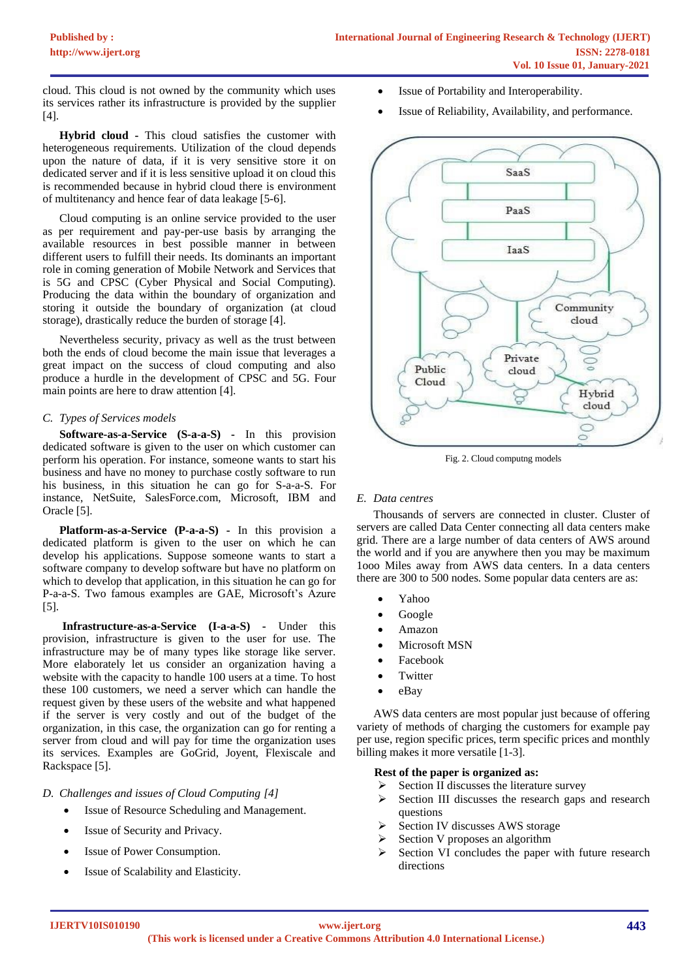cloud. This cloud is not owned by the community which uses its services rather its infrastructure is provided by the supplier [4].

**Hybrid cloud -** This cloud satisfies the customer with heterogeneous requirements. Utilization of the cloud depends upon the nature of data, if it is very sensitive store it on dedicated server and if it is less sensitive upload it on cloud this is recommended because in hybrid cloud there is environment of multitenancy and hence fear of data leakage [5-6].

Cloud computing is an online service provided to the user as per requirement and pay-per-use basis by arranging the available resources in best possible manner in between different users to fulfill their needs. Its dominants an important role in coming generation of Mobile Network and Services that is 5G and CPSC (Cyber Physical and Social Computing). Producing the data within the boundary of organization and storing it outside the boundary of organization (at cloud storage), drastically reduce the burden of storage [4].

Nevertheless security, privacy as well as the trust between both the ends of cloud become the main issue that leverages a great impact on the success of cloud computing and also produce a hurdle in the development of CPSC and 5G. Four main points are here to draw attention [4].

#### *C. Types of Services models*

**Software-as-a-Service (S-a-a-S) -** In this provision dedicated software is given to the user on which customer can perform his operation. For instance, someone wants to start his business and have no money to purchase costly software to run his business, in this situation he can go for S-a-a-S. For instance, NetSuite, SalesForce.com, Microsoft, IBM and Oracle [5].

**Platform-as-a-Service (P-a-a-S) -** In this provision a dedicated platform is given to the user on which he can develop his applications. Suppose someone wants to start a software company to develop software but have no platform on which to develop that application, in this situation he can go for P-a-a-S. Two famous examples are GAE, Microsoft's Azure [5].

**Infrastructure-as-a-Service (I-a-a-S) -** Under this provision, infrastructure is given to the user for use. The infrastructure may be of many types like storage like server. More elaborately let us consider an organization having a website with the capacity to handle 100 users at a time. To host these 100 customers, we need a server which can handle the request given by these users of the website and what happened if the server is very costly and out of the budget of the organization, in this case, the organization can go for renting a server from cloud and will pay for time the organization uses its services. Examples are GoGrid, Joyent, Flexiscale and Rackspace [5].

## *D. Challenges and issues of Cloud Computing [4]*

- Issue of Resource Scheduling and Management.
- Issue of Security and Privacy.
- Issue of Power Consumption.
- Issue of Scalability and Elasticity.
- Issue of Portability and Interoperability.
- Issue of Reliability, Availability, and performance.



Fig. 2. Cloud computng models

#### *E. Data centres*

Thousands of servers are connected in cluster. Cluster of servers are called Data Center connecting all data centers make grid. There are a large number of data centers of AWS around the world and if you are anywhere then you may be maximum 1ooo Miles away from AWS data centers. In a data centers there are 300 to 500 nodes. Some popular data centers are as:

- Yahoo
- Google
- Amazon
- Microsoft MSN
- Facebook
- **Twitter**
- eBay

AWS data centers are most popular just because of offering variety of methods of charging the customers for example pay per use, region specific prices, term specific prices and monthly billing makes it more versatile [1-3].

## **Rest of the paper is organized as:**

- Section II discusses the literature survey
- ➢ Section III discusses the research gaps and research questions
- Section IV discusses AWS storage
- Section V proposes an algorithm
- Section VI concludes the paper with future research directions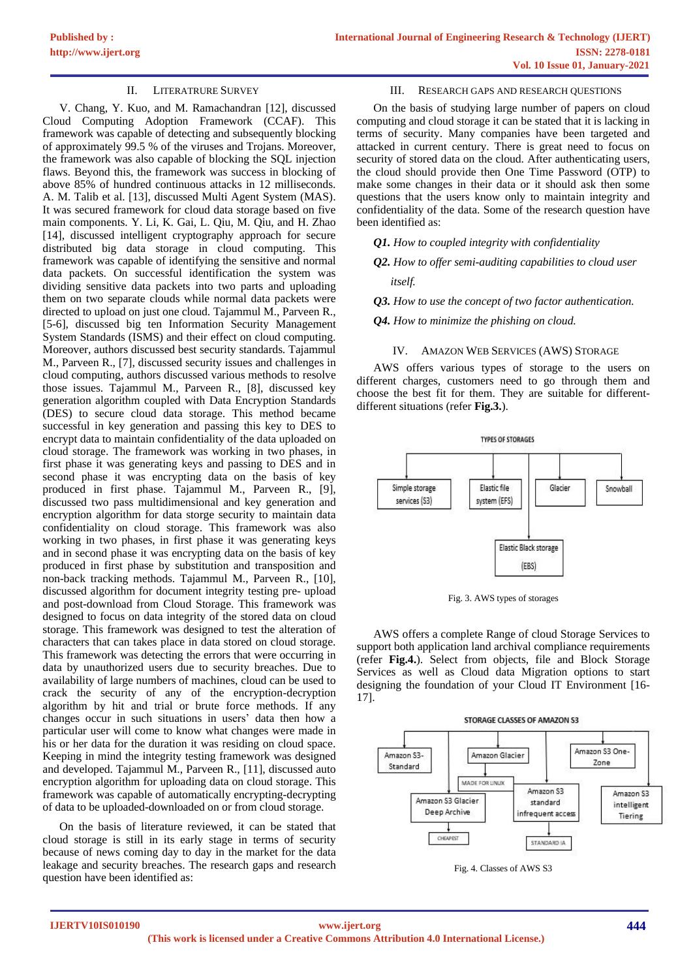#### II. LITERATRURE SURVEY

V. Chang, Y. Kuo, and M. Ramachandran [12], discussed Cloud Computing Adoption Framework (CCAF). This framework was capable of detecting and subsequently blocking of approximately 99.5 % of the viruses and Trojans. Moreover, the framework was also capable of blocking the SQL injection flaws. Beyond this, the framework was success in blocking of above 85% of hundred continuous attacks in 12 milliseconds. A. M. Talib et al. [13], discussed Multi Agent System (MAS). It was secured framework for cloud data storage based on five main components. Y. Li, K. Gai, L. Qiu, M. Qiu, and H. Zhao [14], discussed intelligent cryptography approach for secure distributed big data storage in cloud computing. This framework was capable of identifying the sensitive and normal data packets. On successful identification the system was dividing sensitive data packets into two parts and uploading them on two separate clouds while normal data packets were directed to upload on just one cloud. Tajammul M., Parveen R., [5-6], discussed big ten Information Security Management System Standards (ISMS) and their effect on cloud computing. Moreover, authors discussed best security standards. Tajammul M., Parveen R., [7], discussed security issues and challenges in cloud computing, authors discussed various methods to resolve those issues. Tajammul M., Parveen R., [8], discussed key generation algorithm coupled with Data Encryption Standards (DES) to secure cloud data storage. This method became successful in key generation and passing this key to DES to encrypt data to maintain confidentiality of the data uploaded on cloud storage. The framework was working in two phases, in first phase it was generating keys and passing to DES and in second phase it was encrypting data on the basis of key produced in first phase. Tajammul M., Parveen R., [9], discussed two pass multidimensional and key generation and encryption algorithm for data storge security to maintain data confidentiality on cloud storage. This framework was also working in two phases, in first phase it was generating keys and in second phase it was encrypting data on the basis of key produced in first phase by substitution and transposition and non-back tracking methods. Tajammul M., Parveen R., [10], discussed algorithm for document integrity testing pre- upload and post-download from Cloud Storage. This framework was designed to focus on data integrity of the stored data on cloud storage. This framework was designed to test the alteration of characters that can takes place in data stored on cloud storage. This framework was detecting the errors that were occurring in data by unauthorized users due to security breaches. Due to availability of large numbers of machines, cloud can be used to crack the security of any of the encryption-decryption algorithm by hit and trial or brute force methods. If any changes occur in such situations in users' data then how a particular user will come to know what changes were made in his or her data for the duration it was residing on cloud space. Keeping in mind the integrity testing framework was designed and developed. Tajammul M., Parveen R., [11], discussed auto encryption algorithm for uploading data on cloud storage. This framework was capable of automatically encrypting-decrypting of data to be uploaded-downloaded on or from cloud storage.

On the basis of literature reviewed, it can be stated that cloud storage is still in its early stage in terms of security because of news coming day to day in the market for the data leakage and security breaches. The research gaps and research question have been identified as:

#### III. RESEARCH GAPS AND RESEARCH QUESTIONS

On the basis of studying large number of papers on cloud computing and cloud storage it can be stated that it is lacking in terms of security. Many companies have been targeted and attacked in current century. There is great need to focus on security of stored data on the cloud. After authenticating users, the cloud should provide then One Time Password (OTP) to make some changes in their data or it should ask then some questions that the users know only to maintain integrity and confidentiality of the data. Some of the research question have been identified as:

#### *Q1. How to coupled integrity with confidentiality*

## *Q2. How to offer semi-auditing capabilities to cloud user*

 *itself.*

*Q3. How to use the concept of two factor authentication.*

*Q4. How to minimize the phishing on cloud.*

#### IV. AMAZON WEB SERVICES (AWS) STORAGE

AWS offers various types of storage to the users on different charges, customers need to go through them and choose the best fit for them. They are suitable for differentdifferent situations (refer **Fig.3.**).



Fig. 3. AWS types of storages

AWS offers a complete Range of cloud Storage Services to support both application land archival compliance requirements (refer **Fig.4.**). Select from objects, file and Block Storage Services as well as Cloud data Migration options to start designing the foundation of your Cloud IT Environment [16- 17].



Fig. 4. Classes of AWS S3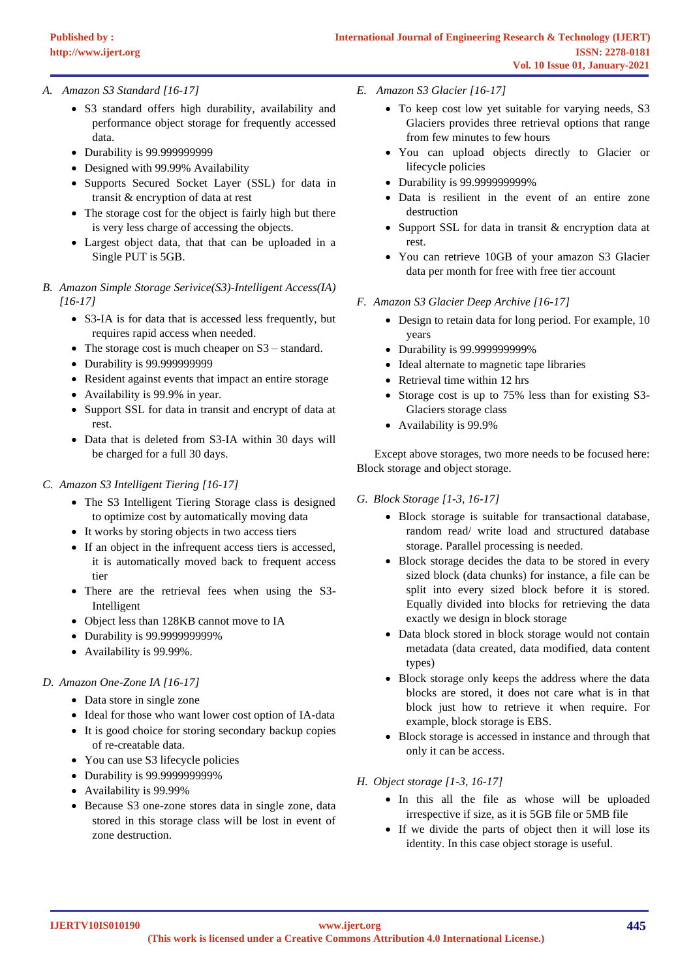- *A. Amazon S3 Standard [16-17]*
	- S3 standard offers high durability, availability and performance object storage for frequently accessed data.
	- Durability is 99.999999999
	- Designed with 99.99% Availability
	- Supports Secured Socket Layer (SSL) for data in transit & encryption of data at rest
	- The storage cost for the object is fairly high but there is very less charge of accessing the objects.
	- Largest object data, that that can be uploaded in a Single PUT is 5GB.
- *B. Amazon Simple Storage Serivice(S3)-Intelligent Access(IA) [16-17]*
	- S3-IA is for data that is accessed less frequently, but requires rapid access when needed.
	- The storage cost is much cheaper on S3 standard.
	- Durability is 99.999999999
	- Resident against events that impact an entire storage
	- Availability is 99.9% in year.
	- Support SSL for data in transit and encrypt of data at rest.
	- Data that is deleted from S3-IA within 30 days will be charged for a full 30 days.

## *C. Amazon S3 Intelligent Tiering [16-17]*

- The S3 Intelligent Tiering Storage class is designed to optimize cost by automatically moving data
- It works by storing objects in two access tiers
- If an object in the infrequent access tiers is accessed, it is automatically moved back to frequent access tier
- There are the retrieval fees when using the S3- Intelligent
- Object less than 128KB cannot move to IA
- Durability is 99.999999999%
- Availability is 99.99%.

## *D. Amazon One-Zone IA [16-17]*

- Data store in single zone
- Ideal for those who want lower cost option of IA-data
- It is good choice for storing secondary backup copies of re-creatable data.
- You can use S3 lifecycle policies
- Durability is 99.999999999%
- Availability is 99.99%
- Because S3 one-zone stores data in single zone, data stored in this storage class will be lost in event of zone destruction.
- *E. Amazon S3 Glacier [16-17]*
	- To keep cost low yet suitable for varying needs, S3 Glaciers provides three retrieval options that range from few minutes to few hours
	- You can upload objects directly to Glacier or lifecycle policies
	- Durability is 99.999999999%
	- Data is resilient in the event of an entire zone destruction
	- Support SSL for data in transit & encryption data at rest.
	- You can retrieve 10GB of your amazon S3 Glacier data per month for free with free tier account

## *F. Amazon S3 Glacier Deep Archive [16-17]*

- Design to retain data for long period. For example, 10 years
- Durability is 99.999999999%
- Ideal alternate to magnetic tape libraries
- Retrieval time within 12 hrs
- Storage cost is up to 75% less than for existing S3- Glaciers storage class
- Availability is 99.9%

 Except above storages, two more needs to be focused here: Block storage and object storage.

## *G. Block Storage [1-3, 16-17]*

- Block storage is suitable for transactional database. random read/ write load and structured database storage. Parallel processing is needed.
- Block storage decides the data to be stored in every sized block (data chunks) for instance, a file can be split into every sized block before it is stored. Equally divided into blocks for retrieving the data exactly we design in block storage
- Data block stored in block storage would not contain metadata (data created, data modified, data content types)
- Block storage only keeps the address where the data blocks are stored, it does not care what is in that block just how to retrieve it when require. For example, block storage is EBS.
- Block storage is accessed in instance and through that only it can be access.

## *H. Object storage [1-3, 16-17]*

- In this all the file as whose will be uploaded irrespective if size, as it is 5GB file or 5MB file
- If we divide the parts of object then it will lose its identity. In this case object storage is useful.